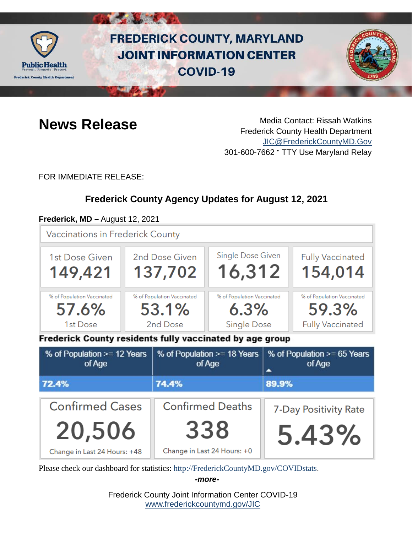

# **FREDERICK COUNTY, MARYLAND JOINT INFORMATION CENTER COVID-19**



**News Release** Media Contact: Rissah Watkins Frederick County Health Department [JIC@FrederickCountyMD.Gov](mailto:JIC@FrederickCountyMD.Gov) 301-600-7662 • TTY Use Maryland Relay

FOR IMMEDIATE RELEASE:

# **Frederick County Agency Updates for August 12, 2021**

#### **Frederick, MD –** August 12, 2021

**Vaccinations in Frederick County** 



Frederick County residents fully vaccinated by age group

| % of Population >= 12 Years<br>of Age | % of Population >= 18 Years<br>of Age | % of Population >= 65 Years<br>of Age |
|---------------------------------------|---------------------------------------|---------------------------------------|
| 72.4%                                 | 74.4%                                 | 89.9%                                 |
| <b>Confirmed Cases</b>                | <b>Confirmed Deaths</b>               | 7-Day Positivity Rate                 |
| 20,506                                | 338                                   | 5.43%                                 |
| Change in Last 24 Hours: +48          | Change in Last 24 Hours: +0           |                                       |

Please check our dashboard for statistics: [http://FrederickCountyMD.gov/COVIDstats.](http://frederickcountymd.gov/COVIDstats)

*-more-*

Frederick County Joint Information Center COVID-19 [www.frederickcountymd.gov/JIC](https://frederickcountymd.gov/JIC)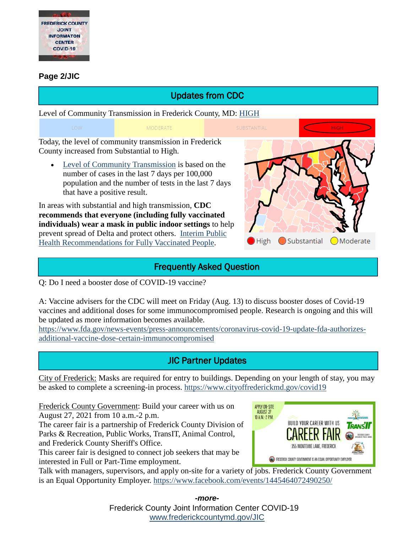

#### **Page 2/JIC**

# Updates from CDC

Level of Community Transmission in Frederick County, MD: [HIGH](https://covid.cdc.gov/covid-data-tracker/#county-view)

**MODERATE** 

Today, the level of community transmission in Frederick County increased from Substantial to High.

• [Level of Community Transmission](https://covid.cdc.gov/covid-data-tracker/#cases_community) is based on the number of cases in the last 7 days per 100,000 population and the number of tests in the last 7 days that have a positive result.

In areas with substantial and high transmission, **CDC recommends that everyone (including fully vaccinated individuals) wear a mask in public indoor settings** to help prevent spread of Delta and protect others. [Interim Public](https://www.cdc.gov/coronavirus/2019-ncov/vaccines/fully-vaccinated-guidance.html)  [Health Recommendations for Fully Vaccinated People.](https://www.cdc.gov/coronavirus/2019-ncov/vaccines/fully-vaccinated-guidance.html)



### Frequently Asked Question

Q: Do I need a booster dose of COVID-19 vaccine?

A: Vaccine advisers for the CDC will meet on Friday (Aug. 13) to discuss booster doses of Covid-19 vaccines and additional doses for some immunocompromised people. Research is ongoing and this will be updated as more information becomes available.

[https://www.fda.gov/news-events/press-announcements/coronavirus-covid-19-update-fda-authorizes](https://www.fda.gov/news-events/press-announcements/coronavirus-covid-19-update-fda-authorizes-additional-vaccine-dose-certain-immunocompromised)[additional-vaccine-dose-certain-immunocompromised](https://www.fda.gov/news-events/press-announcements/coronavirus-covid-19-update-fda-authorizes-additional-vaccine-dose-certain-immunocompromised)

# JIC Partner Updates

City of Frederick: Masks are required for entry to buildings. Depending on your length of stay, you may be asked to complete a screening-in process. <https://www.cityoffrederickmd.gov/covid19>

Frederick County Government: Build your career with us on August 27, 2021 from 10 a.m.-2 p.m.

The career fair is a partnership of Frederick County Division of Parks & Recreation, Public Works, TransIT, Animal Control, and Frederick County Sheriff's Office.

This career fair is designed to connect job seekers that may be interested in Full or Part-Time employment.



Talk with managers, supervisors, and apply on-site for a variety of jobs. Frederick County Government is an Equal Opportunity Employer.<https://www.facebook.com/events/1445464072490250/>

> Frederick County Joint Information Center COVID-19 [www.frederickcountymd.gov/JIC](https://frederickcountymd.gov/JIC) *-more-*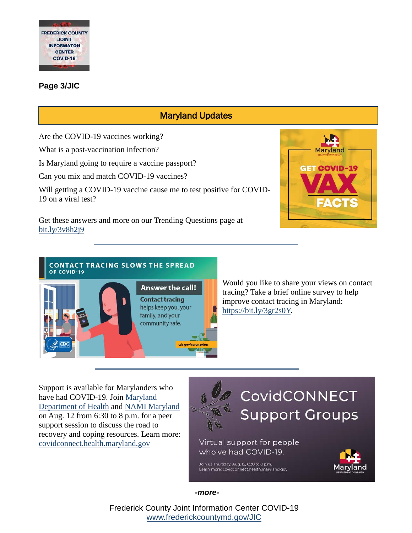

#### **Page 3/JIC**

## Maryland Updates

Are the COVID-19 vaccines working?

What is a post-vaccination infection?

Is Maryland going to require a vaccine passport?

Can you mix and match COVID-19 vaccines?

Will getting a COVID-19 vaccine cause me to test positive for COVID-19 on a viral test?



Get these answers and more on our Trending Questions page at [bit.ly/3v8h2j9](https://bit.ly/3v8h2j9)



Would you like to share your views on contact tracing? Take a brief online survey to help improve contact tracing in Maryland: [https://bit.ly/3gr2s0Y.](https://bit.ly/3gr2s0Y)

Support is available for Marylanders who have had COVID-19. Join [Maryland](https://www.facebook.com/MDHealthDept/?__cft__%5b0%5d=AZUk6Fzk0s89mYRH-6wgrLtu80xzUvSOkncRUceN2Yeax5nVp9nvVbxAcQxzSdiNiu0edzxY8elfyx3HzvFpOcHXtMcfadoWBr1oFUyoW6hkvgrCBMRbZ0W778f8yZD0K9BVsXpNDCdbEN67KABUclBu8TTFJM-HuYbg7UAB7QEr-w&__tn__=kK-R)  [Department of Health](https://www.facebook.com/MDHealthDept/?__cft__%5b0%5d=AZUk6Fzk0s89mYRH-6wgrLtu80xzUvSOkncRUceN2Yeax5nVp9nvVbxAcQxzSdiNiu0edzxY8elfyx3HzvFpOcHXtMcfadoWBr1oFUyoW6hkvgrCBMRbZ0W778f8yZD0K9BVsXpNDCdbEN67KABUclBu8TTFJM-HuYbg7UAB7QEr-w&__tn__=kK-R) and [NAMI Maryland](https://www.facebook.com/namimaryland/?__cft__%5b0%5d=AZUk6Fzk0s89mYRH-6wgrLtu80xzUvSOkncRUceN2Yeax5nVp9nvVbxAcQxzSdiNiu0edzxY8elfyx3HzvFpOcHXtMcfadoWBr1oFUyoW6hkvgrCBMRbZ0W778f8yZD0K9BVsXpNDCdbEN67KABUclBu8TTFJM-HuYbg7UAB7QEr-w&__tn__=kK-R) on Aug. 12 from 6:30 to 8 p.m. for a peer support session to discuss the road to recovery and coping resources. Learn more: [covidconnect.health.maryland.gov](http://covidconnect.health.maryland.gov/?fbclid=IwAR0WogCiNFdMwtFf8VeJ0M5YEc2GbD65cx_Q57aIYLEnDKGu-Q-HOywwDqg)



CovidCONNECT **Support Groups** 

Virtual support for people who've had COVID-19.

Join us Thursday, Aug. 12, 6:30 to 8 p.m. Learn more: covidconnect.health.maryland.gov



*-more-*

Frederick County Joint Information Center COVID-19 [www.frederickcountymd.gov/JIC](https://frederickcountymd.gov/JIC)